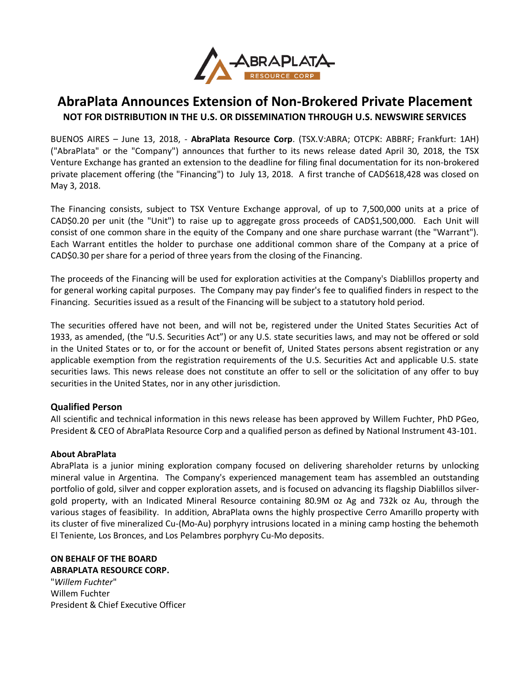

## **AbraPlata Announces Extension of Non-Brokered Private Placement NOT FOR DISTRIBUTION IN THE U.S. OR DISSEMINATION THROUGH U.S. NEWSWIRE SERVICES**

BUENOS AIRES – June 13, 2018, - **AbraPlata Resource Corp**. (TSX.V:ABRA; OTCPK: ABBRF; Frankfurt: 1AH) ("AbraPlata" or the "Company") announces that further to its news release dated April 30, 2018, the TSX Venture Exchange has granted an extension to the deadline for filing final documentation for its non-brokered private placement offering (the "Financing") to July 13, 2018. A first tranche of CAD\$618,428 was closed on May 3, 2018.

The Financing consists, subject to TSX Venture Exchange approval, of up to 7,500,000 units at a price of CAD\$0.20 per unit (the "Unit") to raise up to aggregate gross proceeds of CAD\$1,500,000. Each Unit will consist of one common share in the equity of the Company and one share purchase warrant (the "Warrant"). Each Warrant entitles the holder to purchase one additional common share of the Company at a price of CAD\$0.30 per share for a period of three years from the closing of the Financing.

The proceeds of the Financing will be used for exploration activities at the Company's Diablillos property and for general working capital purposes. The Company may pay finder's fee to qualified finders in respect to the Financing. Securities issued as a result of the Financing will be subject to a statutory hold period.

The securities offered have not been, and will not be, registered under the United States Securities Act of 1933, as amended, (the "U.S. Securities Act") or any U.S. state securities laws, and may not be offered or sold in the United States or to, or for the account or benefit of, United States persons absent registration or any applicable exemption from the registration requirements of the U.S. Securities Act and applicable U.S. state securities laws. This news release does not constitute an offer to sell or the solicitation of any offer to buy securities in the United States, nor in any other jurisdiction.

## **Qualified Person**

All scientific and technical information in this news release has been approved by Willem Fuchter, PhD PGeo, President & CEO of AbraPlata Resource Corp and a qualified person as defined by National Instrument 43-101.

## **About AbraPlata**

AbraPlata is a junior mining exploration company focused on delivering shareholder returns by unlocking mineral value in Argentina. The Company's experienced management team has assembled an outstanding portfolio of gold, silver and copper exploration assets, and is focused on advancing its flagship Diablillos silvergold property, with an Indicated Mineral Resource containing 80.9M oz Ag and 732k oz Au, through the various stages of feasibility. In addition, AbraPlata owns the highly prospective Cerro Amarillo property with its cluster of five mineralized Cu-(Mo-Au) porphyry intrusions located in a mining camp hosting the behemoth El Teniente, Los Bronces, and Los Pelambres porphyry Cu-Mo deposits.

## **ON BEHALF OF THE BOARD**

**ABRAPLATA RESOURCE CORP.** "*Willem Fuchter*" Willem Fuchter President & Chief Executive Officer